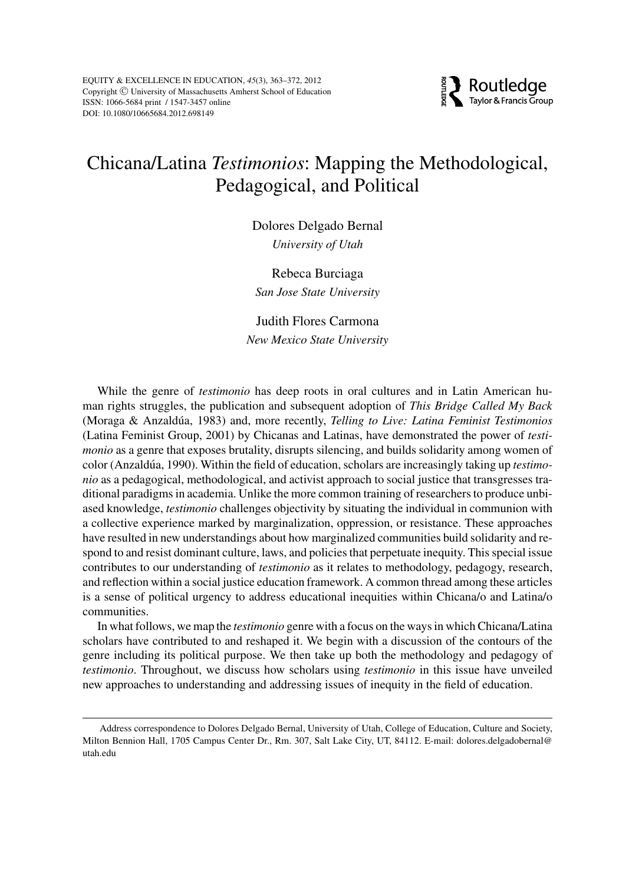

# Chicana/Latina *Testimonios*: Mapping the Methodological, Pedagogical, and Political

Dolores Delgado Bernal *University of Utah*

Rebeca Burciaga *San Jose State University*

Judith Flores Carmona *New Mexico State University*

While the genre of *testimonio* has deep roots in oral cultures and in Latin American human rights struggles, the publication and subsequent adoption of *This Bridge Called My Back* (Moraga & Anzaldúa, 1983) and, more recently, *Telling to Live: Latina Feminist Testimonios* (Latina Feminist Group, 2001) by Chicanas and Latinas, have demonstrated the power of *testimonio* as a genre that exposes brutality, disrupts silencing, and builds solidarity among women of color (Anzaldúa, 1990). Within the field of education, scholars are increasingly taking up *testimonio* as a pedagogical, methodological, and activist approach to social justice that transgresses traditional paradigms in academia. Unlike the more common training of researchers to produce unbiased knowledge, *testimonio* challenges objectivity by situating the individual in communion with a collective experience marked by marginalization, oppression, or resistance. These approaches have resulted in new understandings about how marginalized communities build solidarity and respond to and resist dominant culture, laws, and policies that perpetuate inequity. This special issue contributes to our understanding of *testimonio* as it relates to methodology, pedagogy, research, and reflection within a social justice education framework. A common thread among these articles is a sense of political urgency to address educational inequities within Chicana/o and Latina/o communities.

In what follows, we map the *testimonio* genre with a focus on the ways in which Chicana/Latina scholars have contributed to and reshaped it. We begin with a discussion of the contours of the genre including its political purpose. We then take up both the methodology and pedagogy of *testimonio*. Throughout, we discuss how scholars using *testimonio* in this issue have unveiled new approaches to understanding and addressing issues of inequity in the field of education.

Address correspondence to Dolores Delgado Bernal, University of Utah, College of Education, Culture and Society, Milton Bennion Hall, 1705 Campus Center Dr., Rm. 307, Salt Lake City, UT, 84112. E-mail: dolores.delgadobernal@ utah.edu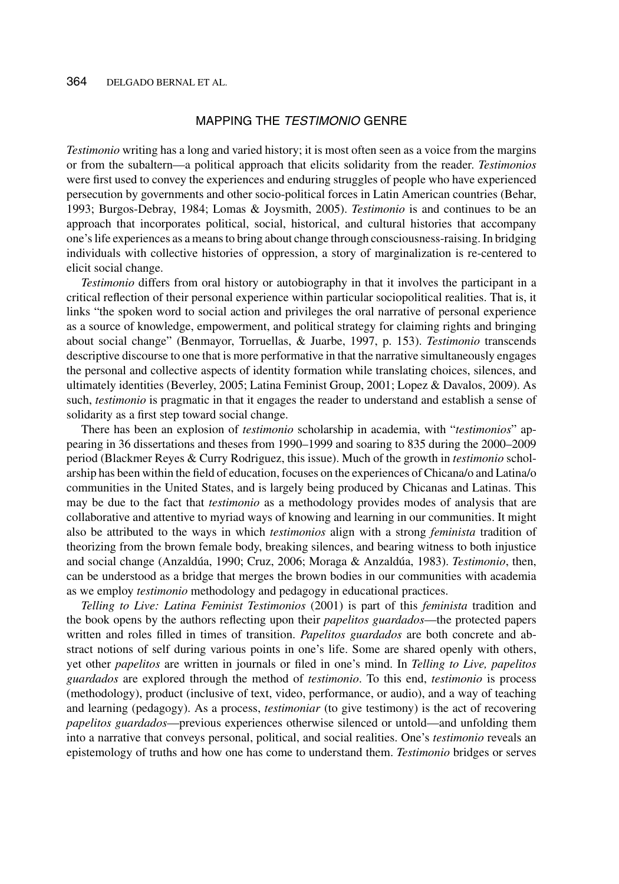## MAPPING THE TESTIMONIO GENRE

*Testimonio* writing has a long and varied history; it is most often seen as a voice from the margins or from the subaltern—a political approach that elicits solidarity from the reader. *Testimonios* were first used to convey the experiences and enduring struggles of people who have experienced persecution by governments and other socio-political forces in Latin American countries (Behar, 1993; Burgos-Debray, 1984; Lomas & Joysmith, 2005). *Testimonio* is and continues to be an approach that incorporates political, social, historical, and cultural histories that accompany one's life experiences as a means to bring about change through consciousness-raising. In bridging individuals with collective histories of oppression, a story of marginalization is re-centered to elicit social change.

*Testimonio* differs from oral history or autobiography in that it involves the participant in a critical reflection of their personal experience within particular sociopolitical realities. That is, it links "the spoken word to social action and privileges the oral narrative of personal experience as a source of knowledge, empowerment, and political strategy for claiming rights and bringing about social change" (Benmayor, Torruellas, & Juarbe, 1997, p. 153). *Testimonio* transcends descriptive discourse to one that is more performative in that the narrative simultaneously engages the personal and collective aspects of identity formation while translating choices, silences, and ultimately identities (Beverley, 2005; Latina Feminist Group, 2001; Lopez & Davalos, 2009). As such, *testimonio* is pragmatic in that it engages the reader to understand and establish a sense of solidarity as a first step toward social change.

There has been an explosion of *testimonio* scholarship in academia, with "*testimonios*" appearing in 36 dissertations and theses from 1990–1999 and soaring to 835 during the 2000–2009 period (Blackmer Reyes & Curry Rodriguez, this issue). Much of the growth in *testimonio* scholarship has been within the field of education, focuses on the experiences of Chicana/o and Latina/o communities in the United States, and is largely being produced by Chicanas and Latinas. This may be due to the fact that *testimonio* as a methodology provides modes of analysis that are collaborative and attentive to myriad ways of knowing and learning in our communities. It might also be attributed to the ways in which *testimonios* align with a strong *feminista* tradition of theorizing from the brown female body, breaking silences, and bearing witness to both injustice and social change (Anzaldúa, 1990; Cruz, 2006; Moraga & Anzaldúa, 1983). *Testimonio*, then, can be understood as a bridge that merges the brown bodies in our communities with academia as we employ *testimonio* methodology and pedagogy in educational practices.

*Telling to Live: Latina Feminist Testimonios* (2001) is part of this *feminista* tradition and the book opens by the authors reflecting upon their *papelitos guardados*—the protected papers written and roles filled in times of transition. *Papelitos guardados* are both concrete and abstract notions of self during various points in one's life. Some are shared openly with others, yet other *papelitos* are written in journals or filed in one's mind. In *Telling to Live, papelitos guardados* are explored through the method of *testimonio*. To this end, *testimonio* is process (methodology), product (inclusive of text, video, performance, or audio), and a way of teaching and learning (pedagogy). As a process, *testimoniar* (to give testimony) is the act of recovering *papelitos guardados*—previous experiences otherwise silenced or untold—and unfolding them into a narrative that conveys personal, political, and social realities. One's *testimonio* reveals an epistemology of truths and how one has come to understand them. *Testimonio* bridges or serves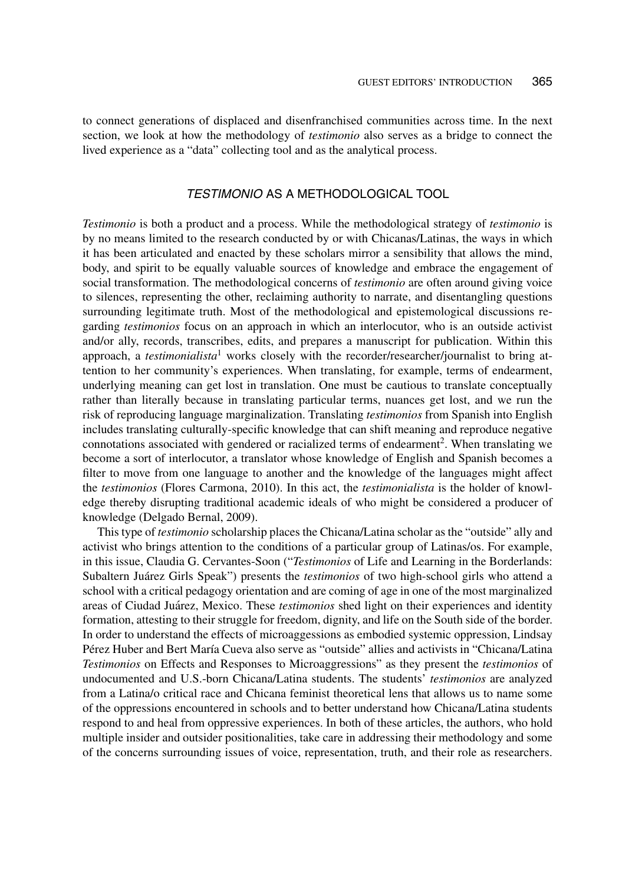to connect generations of displaced and disenfranchised communities across time. In the next section, we look at how the methodology of *testimonio* also serves as a bridge to connect the lived experience as a "data" collecting tool and as the analytical process.

## TESTIMONIO AS A METHODOLOGICAL TOOL

*Testimonio* is both a product and a process. While the methodological strategy of *testimonio* is by no means limited to the research conducted by or with Chicanas/Latinas, the ways in which it has been articulated and enacted by these scholars mirror a sensibility that allows the mind, body, and spirit to be equally valuable sources of knowledge and embrace the engagement of social transformation. The methodological concerns of *testimonio* are often around giving voice to silences, representing the other, reclaiming authority to narrate, and disentangling questions surrounding legitimate truth. Most of the methodological and epistemological discussions regarding *testimonios* focus on an approach in which an interlocutor, who is an outside activist and/or ally, records, transcribes, edits, and prepares a manuscript for publication. Within this approach, a *testimonialista*<sup>1</sup> works closely with the recorder/researcher/journalist to bring attention to her community's experiences. When translating, for example, terms of endearment, underlying meaning can get lost in translation. One must be cautious to translate conceptually rather than literally because in translating particular terms, nuances get lost, and we run the risk of reproducing language marginalization. Translating *testimonios* from Spanish into English includes translating culturally-specific knowledge that can shift meaning and reproduce negative connotations associated with gendered or racialized terms of endearment<sup>2</sup>. When translating we become a sort of interlocutor, a translator whose knowledge of English and Spanish becomes a filter to move from one language to another and the knowledge of the languages might affect the *testimonios* (Flores Carmona, 2010). In this act, the *testimonialista* is the holder of knowledge thereby disrupting traditional academic ideals of who might be considered a producer of knowledge (Delgado Bernal, 2009).

This type of *testimonio* scholarship places the Chicana/Latina scholar as the "outside" ally and activist who brings attention to the conditions of a particular group of Latinas/os. For example, in this issue, Claudia G. Cervantes-Soon ("*Testimonios* of Life and Learning in the Borderlands: Subaltern Juárez Girls Speak") presents the *testimonios* of two high-school girls who attend a school with a critical pedagogy orientation and are coming of age in one of the most marginalized areas of Ciudad Juárez, Mexico. These *testimonios* shed light on their experiences and identity formation, attesting to their struggle for freedom, dignity, and life on the South side of the border. In order to understand the effects of microaggessions as embodied systemic oppression, Lindsay Pérez Huber and Bert María Cueva also serve as "outside" allies and activists in "Chicana/Latina" *Testimonios* on Effects and Responses to Microaggressions" as they present the *testimonios* of undocumented and U.S.-born Chicana/Latina students. The students' *testimonios* are analyzed from a Latina/o critical race and Chicana feminist theoretical lens that allows us to name some of the oppressions encountered in schools and to better understand how Chicana/Latina students respond to and heal from oppressive experiences. In both of these articles, the authors, who hold multiple insider and outsider positionalities, take care in addressing their methodology and some of the concerns surrounding issues of voice, representation, truth, and their role as researchers.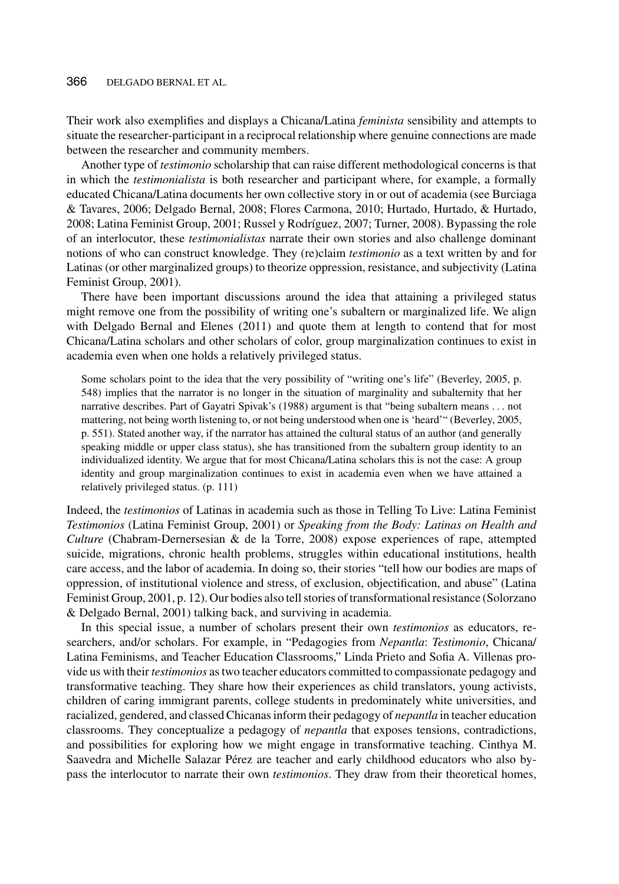#### 366 DELGADO BERNAL ET AL.

Their work also exemplifies and displays a Chicana/Latina *feminista* sensibility and attempts to situate the researcher-participant in a reciprocal relationship where genuine connections are made between the researcher and community members.

Another type of *testimonio* scholarship that can raise different methodological concerns is that in which the *testimonialista* is both researcher and participant where, for example, a formally educated Chicana/Latina documents her own collective story in or out of academia (see Burciaga & Tavares, 2006; Delgado Bernal, 2008; Flores Carmona, 2010; Hurtado, Hurtado, & Hurtado, 2008; Latina Feminist Group, 2001; Russel y Rodríguez, 2007; Turner, 2008). Bypassing the role of an interlocutor, these *testimonialistas* narrate their own stories and also challenge dominant notions of who can construct knowledge. They (re)claim *testimonio* as a text written by and for Latinas (or other marginalized groups) to theorize oppression, resistance, and subjectivity (Latina Feminist Group, 2001).

There have been important discussions around the idea that attaining a privileged status might remove one from the possibility of writing one's subaltern or marginalized life. We align with Delgado Bernal and Elenes (2011) and quote them at length to contend that for most Chicana/Latina scholars and other scholars of color, group marginalization continues to exist in academia even when one holds a relatively privileged status.

Some scholars point to the idea that the very possibility of "writing one's life" (Beverley, 2005, p. 548) implies that the narrator is no longer in the situation of marginality and subalternity that her narrative describes. Part of Gayatri Spivak's (1988) argument is that "being subaltern means *...* not mattering, not being worth listening to, or not being understood when one is 'heard'" (Beverley, 2005, p. 551). Stated another way, if the narrator has attained the cultural status of an author (and generally speaking middle or upper class status), she has transitioned from the subaltern group identity to an individualized identity. We argue that for most Chicana/Latina scholars this is not the case: A group identity and group marginalization continues to exist in academia even when we have attained a relatively privileged status. (p. 111)

Indeed, the *testimonios* of Latinas in academia such as those in Telling To Live: Latina Feminist *Testimonios* (Latina Feminist Group, 2001) or *Speaking from the Body: Latinas on Health and Culture* (Chabram-Dernersesian & de la Torre, 2008) expose experiences of rape, attempted suicide, migrations, chronic health problems, struggles within educational institutions, health care access, and the labor of academia. In doing so, their stories "tell how our bodies are maps of oppression, of institutional violence and stress, of exclusion, objectification, and abuse" (Latina Feminist Group, 2001, p. 12). Our bodies also tell stories of transformational resistance (Solorzano & Delgado Bernal, 2001) talking back, and surviving in academia.

In this special issue, a number of scholars present their own *testimonios* as educators, researchers, and/or scholars. For example, in "Pedagogies from *Nepantla*: *Testimonio*, Chicana/ Latina Feminisms, and Teacher Education Classrooms," Linda Prieto and Sofia A. Villenas provide us with their *testimonios* as two teacher educators committed to compassionate pedagogy and transformative teaching. They share how their experiences as child translators, young activists, children of caring immigrant parents, college students in predominately white universities, and racialized, gendered, and classed Chicanas inform their pedagogy of *nepantla* in teacher education classrooms. They conceptualize a pedagogy of *nepantla* that exposes tensions, contradictions, and possibilities for exploring how we might engage in transformative teaching. Cinthya M. Saavedra and Michelle Salazar Pérez are teacher and early childhood educators who also bypass the interlocutor to narrate their own *testimonios*. They draw from their theoretical homes,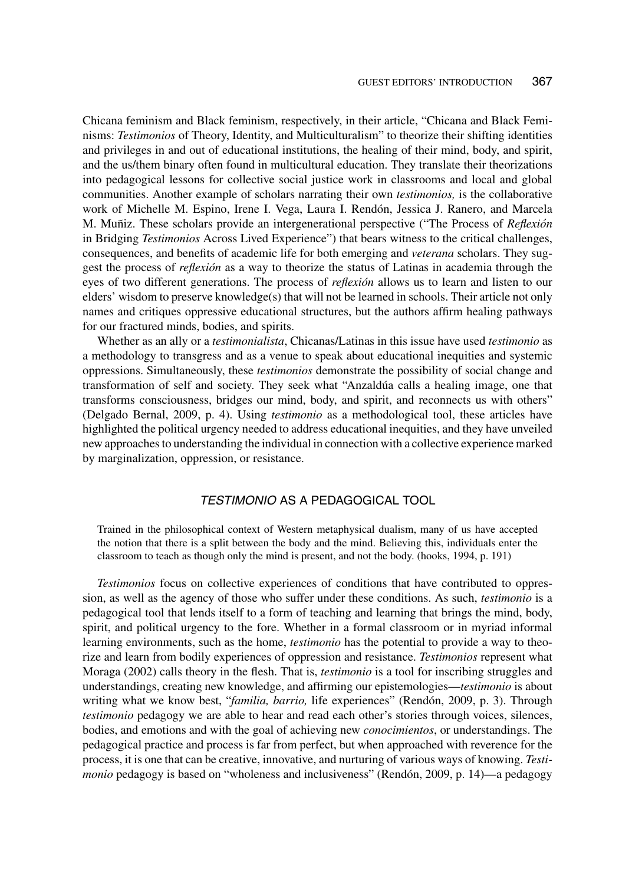Chicana feminism and Black feminism, respectively, in their article, "Chicana and Black Feminisms: *Testimonios* of Theory, Identity, and Multiculturalism" to theorize their shifting identities and privileges in and out of educational institutions, the healing of their mind, body, and spirit, and the us/them binary often found in multicultural education. They translate their theorizations into pedagogical lessons for collective social justice work in classrooms and local and global communities. Another example of scholars narrating their own *testimonios,* is the collaborative work of Michelle M. Espino, Irene I. Vega, Laura I. Rendón, Jessica J. Ranero, and Marcela M. Muñiz. These scholars provide an intergenerational perspective ("The Process of *Reflexión* in Bridging *Testimonios* Across Lived Experience") that bears witness to the critical challenges, consequences, and benefits of academic life for both emerging and *veterana* scholars. They suggest the process of *reflexión* as a way to theorize the status of Latinas in academia through the eyes of two different generations. The process of *reflexion´* allows us to learn and listen to our elders' wisdom to preserve knowledge(s) that will not be learned in schools. Their article not only names and critiques oppressive educational structures, but the authors affirm healing pathways for our fractured minds, bodies, and spirits.

Whether as an ally or a *testimonialista*, Chicanas/Latinas in this issue have used *testimonio* as a methodology to transgress and as a venue to speak about educational inequities and systemic oppressions. Simultaneously, these *testimonios* demonstrate the possibility of social change and transformation of self and society. They seek what "Anzaldua calls a healing image, one that transforms consciousness, bridges our mind, body, and spirit, and reconnects us with others" (Delgado Bernal, 2009, p. 4). Using *testimonio* as a methodological tool, these articles have highlighted the political urgency needed to address educational inequities, and they have unveiled new approaches to understanding the individual in connection with a collective experience marked by marginalization, oppression, or resistance.

# TESTIMONIO AS A PEDAGOGICAL TOOL

Trained in the philosophical context of Western metaphysical dualism, many of us have accepted the notion that there is a split between the body and the mind. Believing this, individuals enter the classroom to teach as though only the mind is present, and not the body. (hooks, 1994, p. 191)

*Testimonios* focus on collective experiences of conditions that have contributed to oppression, as well as the agency of those who suffer under these conditions. As such, *testimonio* is a pedagogical tool that lends itself to a form of teaching and learning that brings the mind, body, spirit, and political urgency to the fore. Whether in a formal classroom or in myriad informal learning environments, such as the home, *testimonio* has the potential to provide a way to theorize and learn from bodily experiences of oppression and resistance. *Testimonios* represent what Moraga (2002) calls theory in the flesh. That is, *testimonio* is a tool for inscribing struggles and understandings, creating new knowledge, and affirming our epistemologies—*testimonio* is about writing what we know best, "*familia, barrio*, life experiences" (Rendón, 2009, p. 3). Through *testimonio* pedagogy we are able to hear and read each other's stories through voices, silences, bodies, and emotions and with the goal of achieving new *conocimientos*, or understandings. The pedagogical practice and process is far from perfect, but when approached with reverence for the process, it is one that can be creative, innovative, and nurturing of various ways of knowing. *Testimonio* pedagogy is based on "wholeness and inclusiveness" (Rendón, 2009, p. 14)—a pedagogy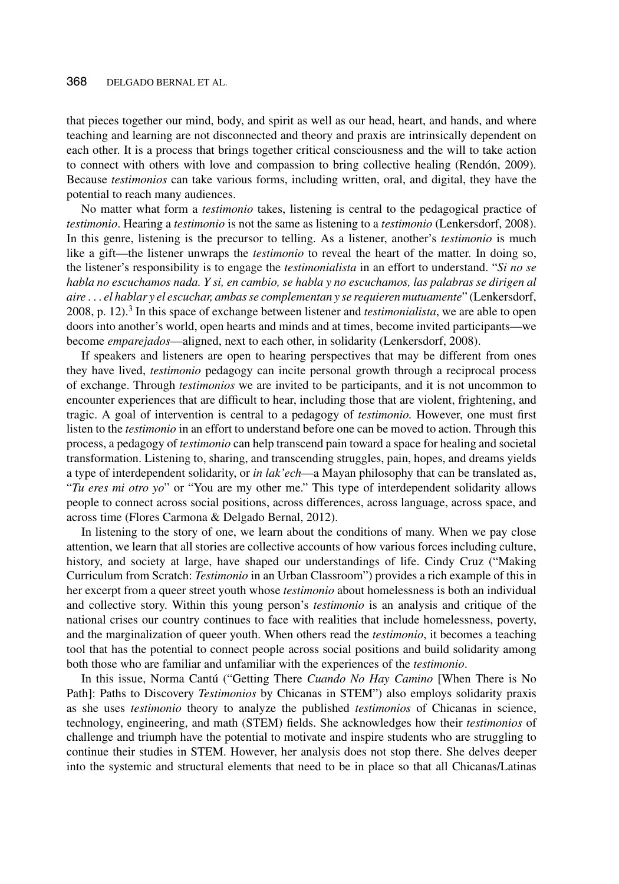that pieces together our mind, body, and spirit as well as our head, heart, and hands, and where teaching and learning are not disconnected and theory and praxis are intrinsically dependent on each other. It is a process that brings together critical consciousness and the will to take action to connect with others with love and compassion to bring collective healing (Rendón, 2009). Because *testimonios* can take various forms, including written, oral, and digital, they have the potential to reach many audiences.

No matter what form a *testimonio* takes, listening is central to the pedagogical practice of *testimonio*. Hearing a *testimonio* is not the same as listening to a *testimonio* (Lenkersdorf, 2008). In this genre, listening is the precursor to telling. As a listener, another's *testimonio* is much like a gift—the listener unwraps the *testimonio* to reveal the heart of the matter. In doing so, the listener's responsibility is to engage the *testimonialista* in an effort to understand. "*Si no se habla no escuchamos nada. Y si, en cambio, se habla y no escuchamos, las palabras se dirigen al aire ... el hablar y el escuchar, ambas se complementan y se requieren mutuamente*" (Lenkersdorf, 2008, p. 12).<sup>3</sup> In this space of exchange between listener and *testimonialista*, we are able to open doors into another's world, open hearts and minds and at times, become invited participants—we become *emparejados*—aligned, next to each other, in solidarity (Lenkersdorf, 2008).

If speakers and listeners are open to hearing perspectives that may be different from ones they have lived, *testimonio* pedagogy can incite personal growth through a reciprocal process of exchange. Through *testimonios* we are invited to be participants, and it is not uncommon to encounter experiences that are difficult to hear, including those that are violent, frightening, and tragic. A goal of intervention is central to a pedagogy of *testimonio.* However, one must first listen to the *testimonio* in an effort to understand before one can be moved to action. Through this process, a pedagogy of *testimonio* can help transcend pain toward a space for healing and societal transformation. Listening to, sharing, and transcending struggles, pain, hopes, and dreams yields a type of interdependent solidarity, or *in lak'ech*—a Mayan philosophy that can be translated as, "*Tu eres mi otro yo*" or "You are my other me." This type of interdependent solidarity allows people to connect across social positions, across differences, across language, across space, and across time (Flores Carmona & Delgado Bernal, 2012).

In listening to the story of one, we learn about the conditions of many. When we pay close attention, we learn that all stories are collective accounts of how various forces including culture, history, and society at large, have shaped our understandings of life. Cindy Cruz ("Making Curriculum from Scratch: *Testimonio* in an Urban Classroom") provides a rich example of this in her excerpt from a queer street youth whose *testimonio* about homelessness is both an individual and collective story. Within this young person's *testimonio* is an analysis and critique of the national crises our country continues to face with realities that include homelessness, poverty, and the marginalization of queer youth. When others read the *testimonio*, it becomes a teaching tool that has the potential to connect people across social positions and build solidarity among both those who are familiar and unfamiliar with the experiences of the *testimonio*.

In this issue, Norma Cantú ("Getting There *Cuando No Hay Camino* [When There is No Path]: Paths to Discovery *Testimonios* by Chicanas in STEM") also employs solidarity praxis as she uses *testimonio* theory to analyze the published *testimonios* of Chicanas in science, technology, engineering, and math (STEM) fields. She acknowledges how their *testimonios* of challenge and triumph have the potential to motivate and inspire students who are struggling to continue their studies in STEM. However, her analysis does not stop there. She delves deeper into the systemic and structural elements that need to be in place so that all Chicanas/Latinas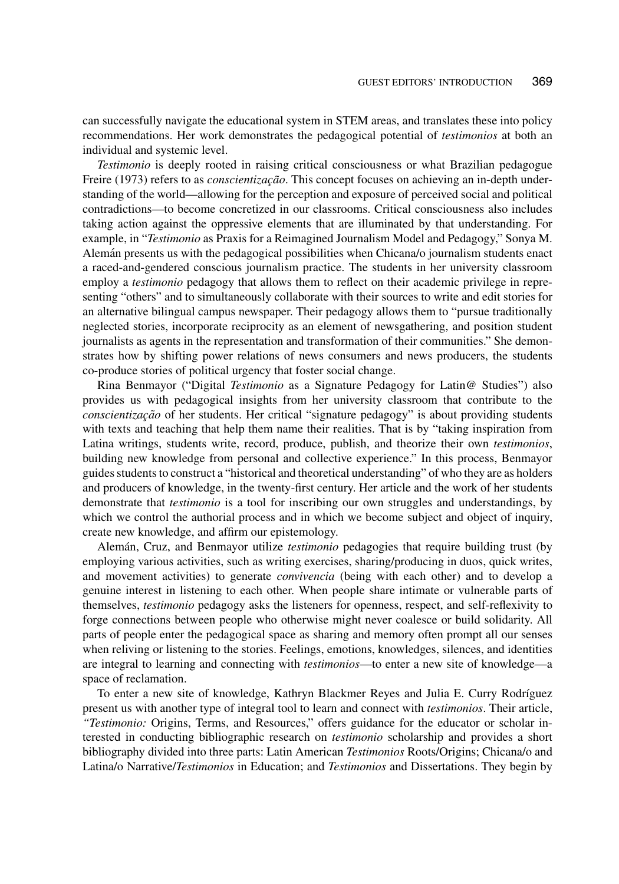can successfully navigate the educational system in STEM areas, and translates these into policy recommendations. Her work demonstrates the pedagogical potential of *testimonios* at both an individual and systemic level.

*Testimonio* is deeply rooted in raising critical consciousness or what Brazilian pedagogue Freire (1973) refers to as *conscientização*. This concept focuses on achieving an in-depth understanding of the world—allowing for the perception and exposure of perceived social and political contradictions—to become concretized in our classrooms. Critical consciousness also includes taking action against the oppressive elements that are illuminated by that understanding. For example, in "*Testimonio* as Praxis for a Reimagined Journalism Model and Pedagogy," Sonya M. Aleman presents us with the pedagogical possibilities when Chicana/o journalism students enact a raced-and-gendered conscious journalism practice. The students in her university classroom employ a *testimonio* pedagogy that allows them to reflect on their academic privilege in representing "others" and to simultaneously collaborate with their sources to write and edit stories for an alternative bilingual campus newspaper. Their pedagogy allows them to "pursue traditionally neglected stories, incorporate reciprocity as an element of newsgathering, and position student journalists as agents in the representation and transformation of their communities." She demonstrates how by shifting power relations of news consumers and news producers, the students co-produce stories of political urgency that foster social change.

Rina Benmayor ("Digital *Testimonio* as a Signature Pedagogy for Latin@ Studies") also provides us with pedagogical insights from her university classroom that contribute to the *conscientização* of her students. Her critical "signature pedagogy" is about providing students with texts and teaching that help them name their realities. That is by "taking inspiration from Latina writings, students write, record, produce, publish, and theorize their own *testimonios*, building new knowledge from personal and collective experience." In this process, Benmayor guides students to construct a "historical and theoretical understanding" of who they are as holders and producers of knowledge, in the twenty-first century. Her article and the work of her students demonstrate that *testimonio* is a tool for inscribing our own struggles and understandings, by which we control the authorial process and in which we become subject and object of inquiry, create new knowledge, and affirm our epistemology.

Alemán, Cruz, and Benmayor utilize *testimonio* pedagogies that require building trust (by employing various activities, such as writing exercises, sharing/producing in duos, quick writes, and movement activities) to generate *convivencia* (being with each other) and to develop a genuine interest in listening to each other. When people share intimate or vulnerable parts of themselves, *testimonio* pedagogy asks the listeners for openness, respect, and self-reflexivity to forge connections between people who otherwise might never coalesce or build solidarity. All parts of people enter the pedagogical space as sharing and memory often prompt all our senses when reliving or listening to the stories. Feelings, emotions, knowledges, silences, and identities are integral to learning and connecting with *testimonios*—to enter a new site of knowledge—a space of reclamation.

To enter a new site of knowledge, Kathryn Blackmer Reyes and Julia E. Curry Rodríguez present us with another type of integral tool to learn and connect with *testimonios*. Their article, *"Testimonio:* Origins, Terms, and Resources," offers guidance for the educator or scholar interested in conducting bibliographic research on *testimonio* scholarship and provides a short bibliography divided into three parts: Latin American *Testimonios* Roots/Origins; Chicana/o and Latina/o Narrative/*Testimonios* in Education; and *Testimonios* and Dissertations. They begin by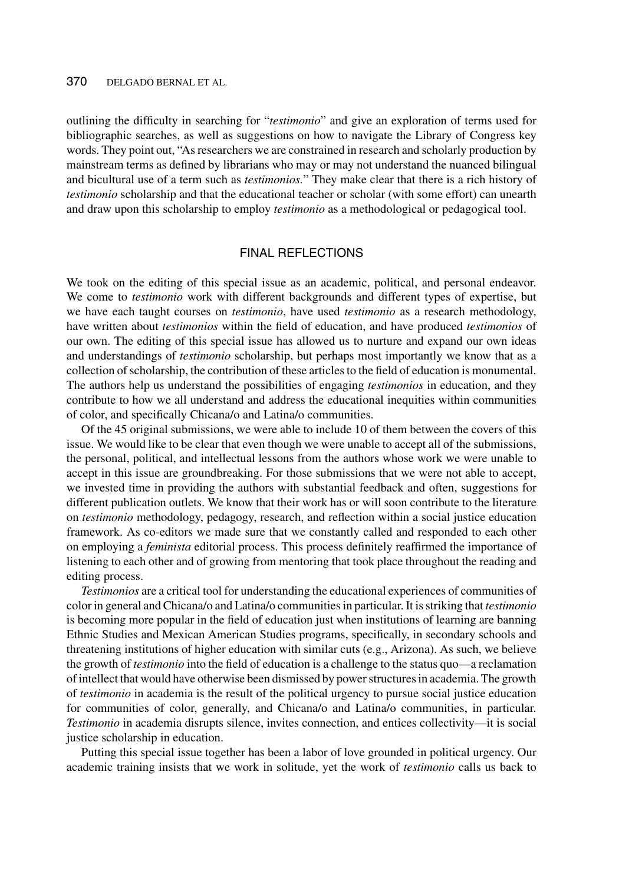#### 370 DELGADO BERNAL ET AL.

outlining the difficulty in searching for "*testimonio*" and give an exploration of terms used for bibliographic searches, as well as suggestions on how to navigate the Library of Congress key words. They point out, "As researchers we are constrained in research and scholarly production by mainstream terms as defined by librarians who may or may not understand the nuanced bilingual and bicultural use of a term such as *testimonios.*" They make clear that there is a rich history of *testimonio* scholarship and that the educational teacher or scholar (with some effort) can unearth and draw upon this scholarship to employ *testimonio* as a methodological or pedagogical tool.

## FINAL REFLECTIONS

We took on the editing of this special issue as an academic, political, and personal endeavor. We come to *testimonio* work with different backgrounds and different types of expertise, but we have each taught courses on *testimonio*, have used *testimonio* as a research methodology, have written about *testimonios* within the field of education, and have produced *testimonios* of our own. The editing of this special issue has allowed us to nurture and expand our own ideas and understandings of *testimonio* scholarship, but perhaps most importantly we know that as a collection of scholarship, the contribution of these articles to the field of education is monumental. The authors help us understand the possibilities of engaging *testimonios* in education, and they contribute to how we all understand and address the educational inequities within communities of color, and specifically Chicana/o and Latina/o communities.

Of the 45 original submissions, we were able to include 10 of them between the covers of this issue. We would like to be clear that even though we were unable to accept all of the submissions, the personal, political, and intellectual lessons from the authors whose work we were unable to accept in this issue are groundbreaking. For those submissions that we were not able to accept, we invested time in providing the authors with substantial feedback and often, suggestions for different publication outlets. We know that their work has or will soon contribute to the literature on *testimonio* methodology, pedagogy, research, and reflection within a social justice education framework. As co-editors we made sure that we constantly called and responded to each other on employing a *feminista* editorial process. This process definitely reaffirmed the importance of listening to each other and of growing from mentoring that took place throughout the reading and editing process.

*Testimonios* are a critical tool for understanding the educational experiences of communities of color in general and Chicana/o and Latina/o communities in particular. It is striking that *testimonio* is becoming more popular in the field of education just when institutions of learning are banning Ethnic Studies and Mexican American Studies programs, specifically, in secondary schools and threatening institutions of higher education with similar cuts (e.g., Arizona). As such, we believe the growth of *testimonio* into the field of education is a challenge to the status quo—a reclamation of intellect that would have otherwise been dismissed by power structures in academia. The growth of *testimonio* in academia is the result of the political urgency to pursue social justice education for communities of color, generally, and Chicana/o and Latina/o communities, in particular. *Testimonio* in academia disrupts silence, invites connection, and entices collectivity—it is social justice scholarship in education.

Putting this special issue together has been a labor of love grounded in political urgency. Our academic training insists that we work in solitude, yet the work of *testimonio* calls us back to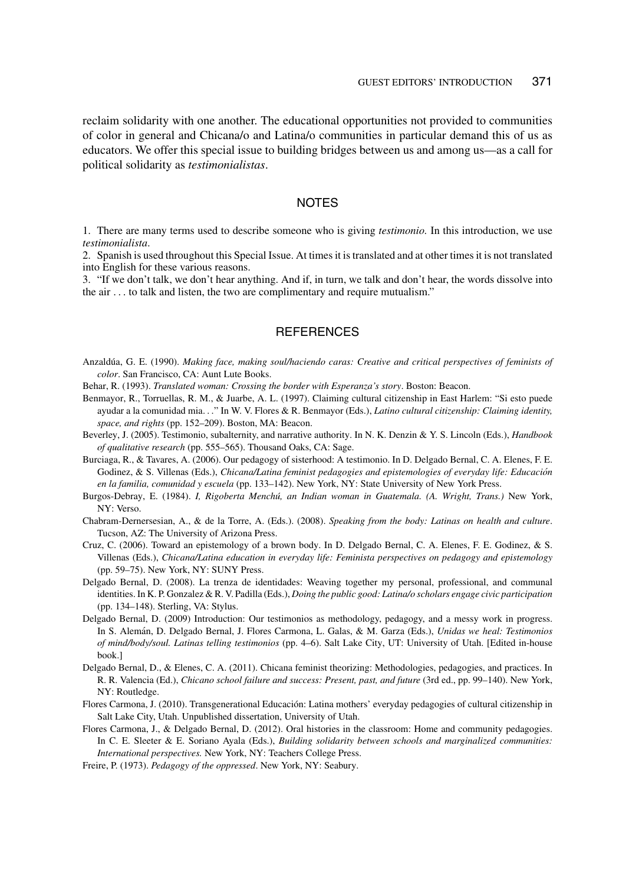reclaim solidarity with one another. The educational opportunities not provided to communities of color in general and Chicana/o and Latina/o communities in particular demand this of us as educators. We offer this special issue to building bridges between us and among us—as a call for political solidarity as *testimonialistas*.

#### NOTES

1. There are many terms used to describe someone who is giving *testimonio.* In this introduction, we use *testimonialista*.

2. Spanish is used throughout this Special Issue. At times it is translated and at other times it is not translated into English for these various reasons.

3. "If we don't talk, we don't hear anything. And if, in turn, we talk and don't hear, the words dissolve into the air *...* to talk and listen, the two are complimentary and require mutualism."

### **REFERENCES**

- Anzaldúa, G. E. (1990). *Making face, making soul/haciendo caras: Creative and critical perspectives of feminists of color*. San Francisco, CA: Aunt Lute Books.
- Behar, R. (1993). *Translated woman: Crossing the border with Esperanza's story*. Boston: Beacon.
- Benmayor, R., Torruellas, R. M., & Juarbe, A. L. (1997). Claiming cultural citizenship in East Harlem: "Si esto puede ayudar a la comunidad mia*...*" In W. V. Flores & R. Benmayor (Eds.), *Latino cultural citizenship: Claiming identity, space, and rights* (pp. 152–209). Boston, MA: Beacon.
- Beverley, J. (2005). Testimonio, subalternity, and narrative authority. In N. K. Denzin & Y. S. Lincoln (Eds.), *Handbook of qualitative research* (pp. 555–565). Thousand Oaks, CA: Sage.
- Burciaga, R., & Tavares, A. (2006). Our pedagogy of sisterhood: A testimonio. In D. Delgado Bernal, C. A. Elenes, F. E. Godinez, & S. Villenas (Eds.), *Chicana/Latina feminist pedagogies and epistemologies of everyday life: Educacion´ en la familia, comunidad y escuela* (pp. 133–142). New York, NY: State University of New York Press.
- Burgos-Debray, E. (1984). *I, Rigoberta Menchu, an Indian woman in Guatemala. (A. Wright, Trans.) ´* New York, NY: Verso.
- Chabram-Dernersesian, A., & de la Torre, A. (Eds.). (2008). *Speaking from the body: Latinas on health and culture*. Tucson, AZ: The University of Arizona Press.
- Cruz, C. (2006). Toward an epistemology of a brown body. In D. Delgado Bernal, C. A. Elenes, F. E. Godinez, & S. Villenas (Eds.), *Chicana/Latina education in everyday life: Feminista perspectives on pedagogy and epistemology* (pp. 59–75). New York, NY: SUNY Press.
- Delgado Bernal, D. (2008). La trenza de identidades: Weaving together my personal, professional, and communal identities. In K. P. Gonzalez & R. V. Padilla (Eds.), *Doing the public good: Latina/o scholars engage civic participation* (pp. 134–148). Sterling, VA: Stylus.
- Delgado Bernal, D. (2009) Introduction: Our testimonios as methodology, pedagogy, and a messy work in progress. In S. Aleman, D. Delgado Bernal, J. Flores Carmona, L. Galas, & M. Garza (Eds.), ´ *Unidas we heal: Testimonios of mind/body/soul. Latinas telling testimonios* (pp. 4–6). Salt Lake City, UT: University of Utah. [Edited in-house book.]
- Delgado Bernal, D., & Elenes, C. A. (2011). Chicana feminist theorizing: Methodologies, pedagogies, and practices. In R. R. Valencia (Ed.), *Chicano school failure and success: Present, past, and future* (3rd ed., pp. 99–140). New York, NY: Routledge.
- Flores Carmona, J. (2010). Transgenerational Educacion: Latina mothers' everyday pedagogies of cultural citizenship in ´ Salt Lake City, Utah. Unpublished dissertation, University of Utah.
- Flores Carmona, J., & Delgado Bernal, D. (2012). Oral histories in the classroom: Home and community pedagogies. In C. E. Sleeter & E. Soriano Ayala (Eds.), *Building solidarity between schools and marginalized communities: International perspectives.* New York, NY: Teachers College Press.
- Freire, P. (1973). *Pedagogy of the oppressed*. New York, NY: Seabury.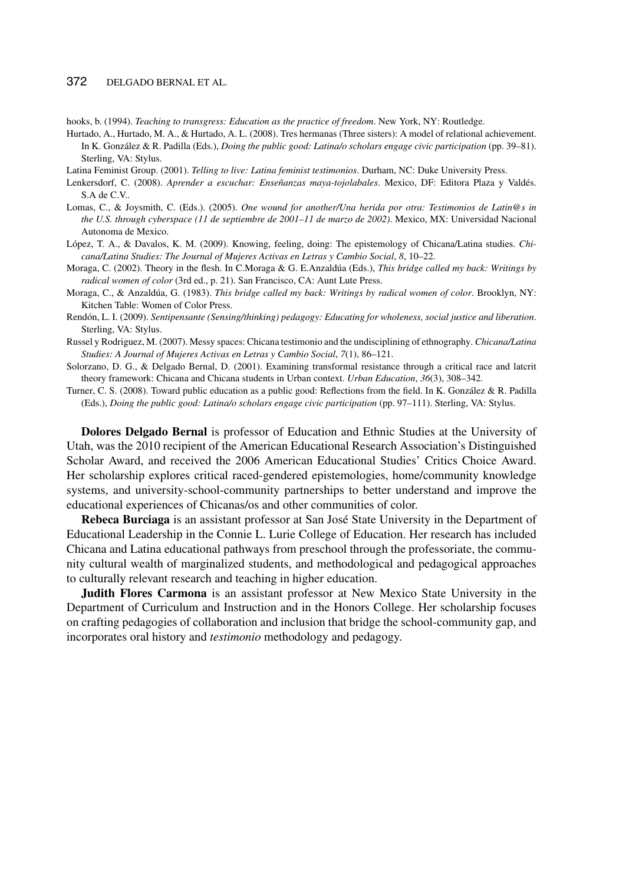#### 372 DELGADO BERNAL ET AL.

hooks, b. (1994). *Teaching to transgress: Education as the practice of freedom*. New York, NY: Routledge.

Hurtado, A., Hurtado, M. A., & Hurtado, A. L. (2008). Tres hermanas (Three sisters): A model of relational achievement. In K. González & R. Padilla (Eds.), *Doing the public good: Latina/o scholars engage civic participation* (pp. 39–81). Sterling, VA: Stylus.

Latina Feminist Group. (2001). *Telling to live: Latina feminist testimonios*. Durham, NC: Duke University Press.

- Lenkersdorf, C. (2008). *Aprender a escuchar: Enseñanzas maya-tojolabales*. Mexico, DF: Editora Plaza y Valdés. S.A de C.V..
- Lomas, C., & Joysmith, C. (Eds.). (2005). *One wound for another/Una herida por otra: Testimonios de Latin@s in the U.S. through cyberspace (11 de septiembre de 2001–11 de marzo de 2002)*. Mexico, MX: Universidad Nacional Autonoma de Mexico.
- López, T. A., & Davalos, K. M. (2009). Knowing, feeling, doing: The epistemology of Chicana/Latina studies. *Chicana/Latina Studies: The Journal of Mujeres Activas en Letras y Cambio Social*, *8*, 10–22.
- Moraga, C. (2002). Theory in the flesh. In C.Moraga & G. E.Anzaldúa (Eds.), *This bridge called my back: Writings by radical women of color* (3rd ed., p. 21). San Francisco, CA: Aunt Lute Press.
- Moraga, C., & Anzaldúa, G. (1983). This bridge called my back: Writings by radical women of color. Brooklyn, NY: Kitchen Table: Women of Color Press.
- Rendón, L. I. (2009). *Sentipensante (Sensing/thinking) pedagogy: Educating for wholeness, social justice and liberation*. Sterling, VA: Stylus.
- Russel y Rodriguez, M. (2007). Messy spaces: Chicana testimonio and the undisciplining of ethnography. *Chicana/Latina Studies: A Journal of Mujeres Activas en Letras y Cambio Social*, *7*(1), 86–121.
- Solorzano, D. G., & Delgado Bernal, D. (2001). Examining transformal resistance through a critical race and latcrit theory framework: Chicana and Chicana students in Urban context. *Urban Education*, *36*(3), 308–342.
- Turner, C. S. (2008). Toward public education as a public good: Reflections from the field. In K. González & R. Padilla (Eds.), *Doing the public good: Latina/o scholars engage civic participation* (pp. 97–111). Sterling, VA: Stylus.

**Dolores Delgado Bernal** is professor of Education and Ethnic Studies at the University of Utah, was the 2010 recipient of the American Educational Research Association's Distinguished Scholar Award, and received the 2006 American Educational Studies' Critics Choice Award. Her scholarship explores critical raced-gendered epistemologies, home/community knowledge systems, and university-school-community partnerships to better understand and improve the educational experiences of Chicanas/os and other communities of color.

**Rebeca Burciaga** is an assistant professor at San Jose State University in the Department of ´ Educational Leadership in the Connie L. Lurie College of Education. Her research has included Chicana and Latina educational pathways from preschool through the professoriate, the community cultural wealth of marginalized students, and methodological and pedagogical approaches to culturally relevant research and teaching in higher education.

**Judith Flores Carmona** is an assistant professor at New Mexico State University in the Department of Curriculum and Instruction and in the Honors College. Her scholarship focuses on crafting pedagogies of collaboration and inclusion that bridge the school-community gap, and incorporates oral history and *testimonio* methodology and pedagogy.